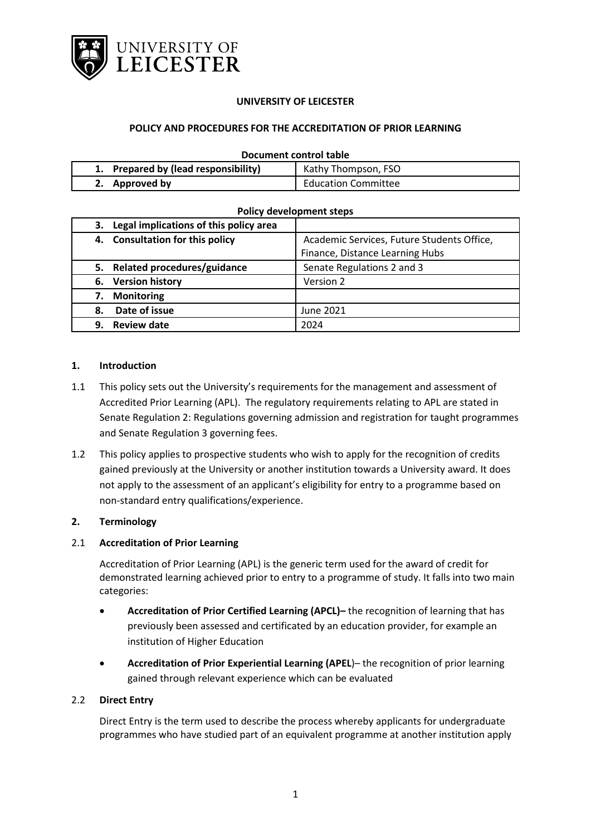

### **UNIVERSITY OF LEICESTER**

### **POLICY AND PROCEDURES FOR THE ACCREDITATION OF PRIOR LEARNING**

#### **Document control table**

| 1. Prepared by (lead responsibility) | Kathy Thompson, FSO        |
|--------------------------------------|----------------------------|
| 2. Approved by                       | <b>Education Committee</b> |

#### **Policy development steps**

| 3. Legal implications of this policy area |                                            |  |
|-------------------------------------------|--------------------------------------------|--|
| 4. Consultation for this policy           | Academic Services, Future Students Office, |  |
|                                           | Finance, Distance Learning Hubs            |  |
| Related procedures/guidance<br>5.         | Senate Regulations 2 and 3                 |  |
| 6. Version history                        | Version 2                                  |  |
| <b>Monitoring</b><br>7.                   |                                            |  |
| Date of issue<br>8.                       | June 2021                                  |  |
| <b>Review date</b><br>9.                  | 2024                                       |  |

#### **1. Introduction**

- 1.1 This policy sets out the University's requirements for the management and assessment of Accredited Prior Learning (APL). The regulatory requirements relating to APL are stated in Senate Regulation 2: Regulations governing admission and registration for taught programmes and Senate Regulation 3 governing fees.
- 1.2 This policy applies to prospective students who wish to apply for the recognition of credits gained previously at the University or another institution towards a University award. It does not apply to the assessment of an applicant's eligibility for entry to a programme based on non-standard entry qualifications/experience.

### **2. Terminology**

### 2.1 **Accreditation of Prior Learning**

Accreditation of Prior Learning (APL) is the generic term used for the award of credit for demonstrated learning achieved prior to entry to a programme of study. It falls into two main categories:

- **Accreditation of Prior Certified Learning (APCL)–** the recognition of learning that has previously been assessed and certificated by an education provider, for example an institution of Higher Education
- **Accreditation of Prior Experiential Learning (APEL**)– the recognition of prior learning gained through relevant experience which can be evaluated

### 2.2 **Direct Entry**

Direct Entry is the term used to describe the process whereby applicants for undergraduate programmes who have studied part of an equivalent programme at another institution apply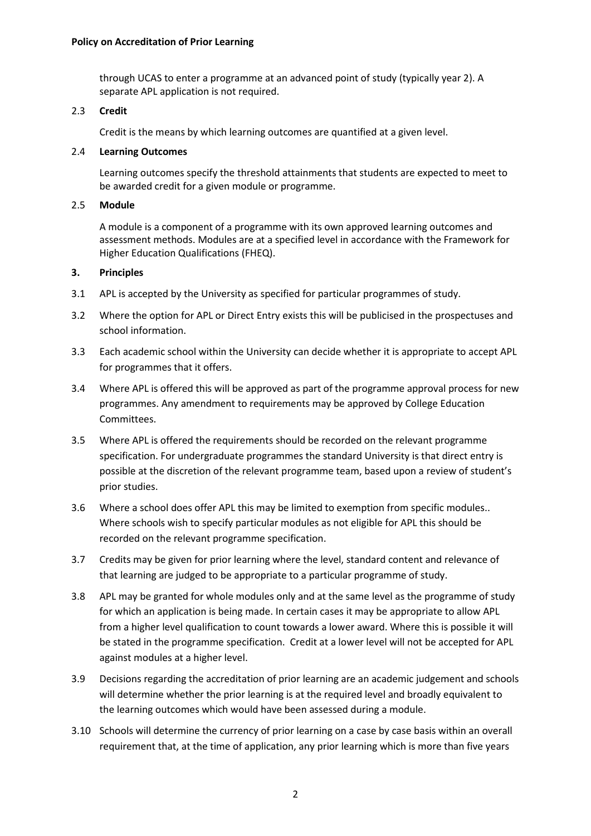through UCAS to enter a programme at an advanced point of study (typically year 2). A separate APL application is not required.

### 2.3 **Credit**

Credit is the means by which learning outcomes are quantified at a given level.

### 2.4 **Learning Outcomes**

Learning outcomes specify the threshold attainments that students are expected to meet to be awarded credit for a given module or programme.

### 2.5 **Module**

A module is a component of a programme with its own approved learning outcomes and assessment methods. Modules are at a specified level in accordance with the Framework for Higher Education Qualifications (FHEQ).

### **3. Principles**

- 3.1 APL is accepted by the University as specified for particular programmes of study.
- 3.2 Where the option for APL or Direct Entry exists this will be publicised in the prospectuses and school information.
- 3.3 Each academic school within the University can decide whether it is appropriate to accept APL for programmes that it offers.
- 3.4 Where APL is offered this will be approved as part of the programme approval process for new programmes. Any amendment to requirements may be approved by College Education Committees.
- 3.5 Where APL is offered the requirements should be recorded on the relevant programme specification. For undergraduate programmes the standard University is that direct entry is possible at the discretion of the relevant programme team, based upon a review of student's prior studies.
- 3.6 Where a school does offer APL this may be limited to exemption from specific modules.. Where schools wish to specify particular modules as not eligible for APL this should be recorded on the relevant programme specification.
- 3.7 Credits may be given for prior learning where the level, standard content and relevance of that learning are judged to be appropriate to a particular programme of study.
- 3.8 APL may be granted for whole modules only and at the same level as the programme of study for which an application is being made. In certain cases it may be appropriate to allow APL from a higher level qualification to count towards a lower award. Where this is possible it will be stated in the programme specification. Credit at a lower level will not be accepted for APL against modules at a higher level.
- 3.9 Decisions regarding the accreditation of prior learning are an academic judgement and schools will determine whether the prior learning is at the required level and broadly equivalent to the learning outcomes which would have been assessed during a module.
- 3.10 Schools will determine the currency of prior learning on a case by case basis within an overall requirement that, at the time of application, any prior learning which is more than five years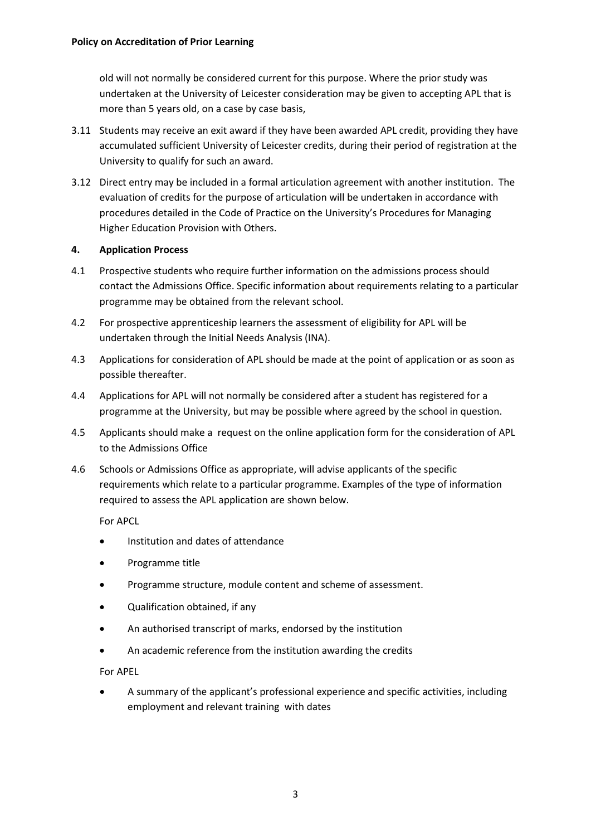old will not normally be considered current for this purpose. Where the prior study was undertaken at the University of Leicester consideration may be given to accepting APL that is more than 5 years old, on a case by case basis,

- 3.11 Students may receive an exit award if they have been awarded APL credit, providing they have accumulated sufficient University of Leicester credits, during their period of registration at the University to qualify for such an award.
- 3.12 Direct entry may be included in a formal articulation agreement with another institution. The evaluation of credits for the purpose of articulation will be undertaken in accordance with procedures detailed in the Code of Practice on the University's Procedures for Managing Higher Education Provision with Others.

### **4. Application Process**

- 4.1 Prospective students who require further information on the admissions process should contact the Admissions Office. Specific information about requirements relating to a particular programme may be obtained from the relevant school.
- 4.2 For prospective apprenticeship learners the assessment of eligibility for APL will be undertaken through the Initial Needs Analysis (INA).
- 4.3 Applications for consideration of APL should be made at the point of application or as soon as possible thereafter.
- 4.4 Applications for APL will not normally be considered after a student has registered for a programme at the University, but may be possible where agreed by the school in question.
- 4.5 Applicants should make a request on the online application form for the consideration of APL to the Admissions Office
- 4.6 Schools or Admissions Office as appropriate, will advise applicants of the specific requirements which relate to a particular programme. Examples of the type of information required to assess the APL application are shown below.

For APCL

- Institution and dates of attendance
- Programme title
- Programme structure, module content and scheme of assessment.
- Qualification obtained, if any
- An authorised transcript of marks, endorsed by the institution
- An academic reference from the institution awarding the credits

For APEL

• A summary of the applicant's professional experience and specific activities, including employment and relevant training with dates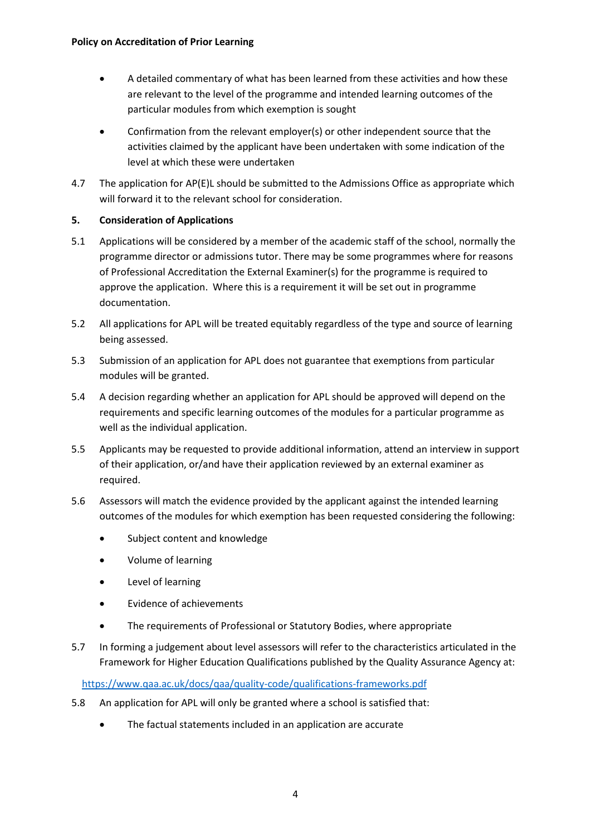- A detailed commentary of what has been learned from these activities and how these are relevant to the level of the programme and intended learning outcomes of the particular modules from which exemption is sought
- Confirmation from the relevant employer(s) or other independent source that the activities claimed by the applicant have been undertaken with some indication of the level at which these were undertaken
- 4.7 The application for AP(E)L should be submitted to the Admissions Office as appropriate which will forward it to the relevant school for consideration.

# **5. Consideration of Applications**

- 5.1 Applications will be considered by a member of the academic staff of the school, normally the programme director or admissions tutor. There may be some programmes where for reasons of Professional Accreditation the External Examiner(s) for the programme is required to approve the application. Where this is a requirement it will be set out in programme documentation.
- 5.2 All applications for APL will be treated equitably regardless of the type and source of learning being assessed.
- 5.3 Submission of an application for APL does not guarantee that exemptions from particular modules will be granted.
- 5.4 A decision regarding whether an application for APL should be approved will depend on the requirements and specific learning outcomes of the modules for a particular programme as well as the individual application.
- 5.5 Applicants may be requested to provide additional information, attend an interview in support of their application, or/and have their application reviewed by an external examiner as required.
- 5.6 Assessors will match the evidence provided by the applicant against the intended learning outcomes of the modules for which exemption has been requested considering the following:
	- Subject content and knowledge
	- Volume of learning
	- Level of learning
	- Evidence of achievements
	- The requirements of Professional or Statutory Bodies, where appropriate
- 5.7 In forming a judgement about level assessors will refer to the characteristics articulated in the Framework for Higher Education Qualifications published by the Quality Assurance Agency at:

<https://www.qaa.ac.uk/docs/qaa/quality-code/qualifications-frameworks.pdf>

- 5.8 An application for APL will only be granted where a school is satisfied that:
	- The factual statements included in an application are accurate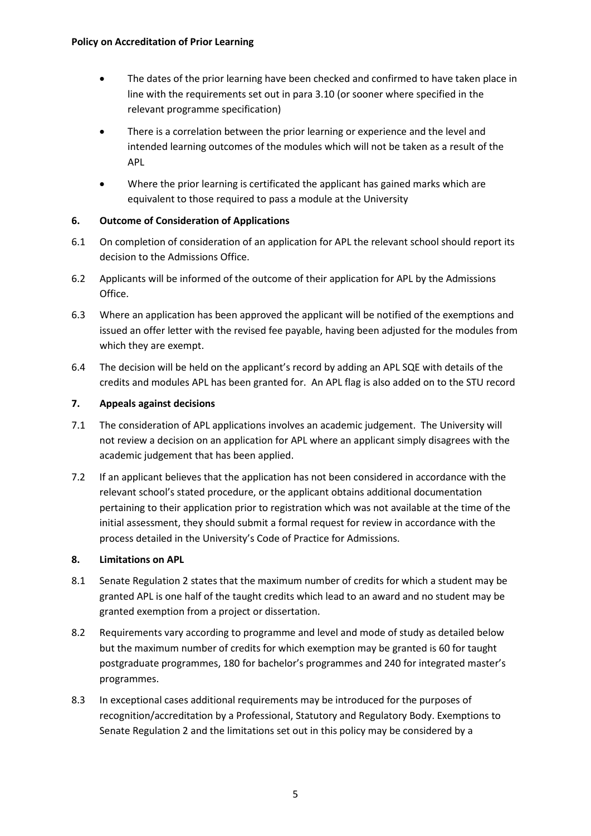- The dates of the prior learning have been checked and confirmed to have taken place in line with the requirements set out in para 3.10 (or sooner where specified in the relevant programme specification)
- There is a correlation between the prior learning or experience and the level and intended learning outcomes of the modules which will not be taken as a result of the APL
- Where the prior learning is certificated the applicant has gained marks which are equivalent to those required to pass a module at the University

# **6. Outcome of Consideration of Applications**

- 6.1 On completion of consideration of an application for APL the relevant school should report its decision to the Admissions Office.
- 6.2 Applicants will be informed of the outcome of their application for APL by the Admissions Office.
- 6.3 Where an application has been approved the applicant will be notified of the exemptions and issued an offer letter with the revised fee payable, having been adjusted for the modules from which they are exempt.
- 6.4 The decision will be held on the applicant's record by adding an APL SQE with details of the credits and modules APL has been granted for. An APL flag is also added on to the STU record

# **7. Appeals against decisions**

- 7.1 The consideration of APL applications involves an academic judgement. The University will not review a decision on an application for APL where an applicant simply disagrees with the academic judgement that has been applied.
- 7.2 If an applicant believes that the application has not been considered in accordance with the relevant school's stated procedure, or the applicant obtains additional documentation pertaining to their application prior to registration which was not available at the time of the initial assessment, they should submit a formal request for review in accordance with the process detailed in the University's Code of Practice for Admissions.

## **8. Limitations on APL**

- 8.1 Senate Regulation 2 states that the maximum number of credits for which a student may be granted APL is one half of the taught credits which lead to an award and no student may be granted exemption from a project or dissertation.
- 8.2 Requirements vary according to programme and level and mode of study as detailed below but the maximum number of credits for which exemption may be granted is 60 for taught postgraduate programmes, 180 for bachelor's programmes and 240 for integrated master's programmes.
- 8.3 In exceptional cases additional requirements may be introduced for the purposes of recognition/accreditation by a Professional, Statutory and Regulatory Body. Exemptions to Senate Regulation 2 and the limitations set out in this policy may be considered by a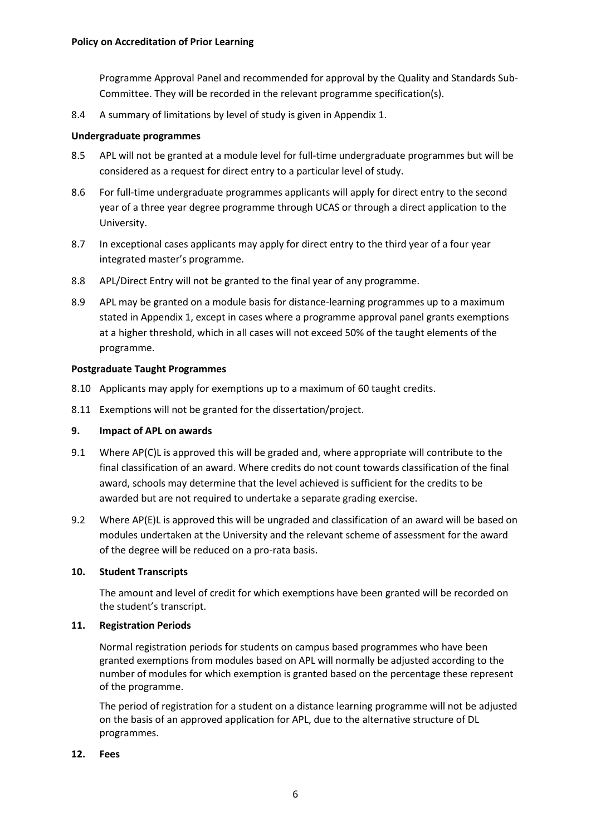Programme Approval Panel and recommended for approval by the Quality and Standards Sub-Committee. They will be recorded in the relevant programme specification(s).

8.4 A summary of limitations by level of study is given in Appendix 1.

### **Undergraduate programmes**

- 8.5 APL will not be granted at a module level for full-time undergraduate programmes but will be considered as a request for direct entry to a particular level of study.
- 8.6 For full-time undergraduate programmes applicants will apply for direct entry to the second year of a three year degree programme through UCAS or through a direct application to the University.
- 8.7 In exceptional cases applicants may apply for direct entry to the third year of a four year integrated master's programme.
- 8.8 APL/Direct Entry will not be granted to the final year of any programme.
- 8.9 APL may be granted on a module basis for distance-learning programmes up to a maximum stated in Appendix 1, except in cases where a programme approval panel grants exemptions at a higher threshold, which in all cases will not exceed 50% of the taught elements of the programme.

### **Postgraduate Taught Programmes**

- 8.10 Applicants may apply for exemptions up to a maximum of 60 taught credits.
- 8.11 Exemptions will not be granted for the dissertation/project.

### **9. Impact of APL on awards**

- 9.1 Where AP(C)L is approved this will be graded and, where appropriate will contribute to the final classification of an award. Where credits do not count towards classification of the final award, schools may determine that the level achieved is sufficient for the credits to be awarded but are not required to undertake a separate grading exercise.
- 9.2 Where AP(E)L is approved this will be ungraded and classification of an award will be based on modules undertaken at the University and the relevant scheme of assessment for the award of the degree will be reduced on a pro-rata basis.

### **10. Student Transcripts**

The amount and level of credit for which exemptions have been granted will be recorded on the student's transcript.

### **11. Registration Periods**

Normal registration periods for students on campus based programmes who have been granted exemptions from modules based on APL will normally be adjusted according to the number of modules for which exemption is granted based on the percentage these represent of the programme.

The period of registration for a student on a distance learning programme will not be adjusted on the basis of an approved application for APL, due to the alternative structure of DL programmes.

### **12. Fees**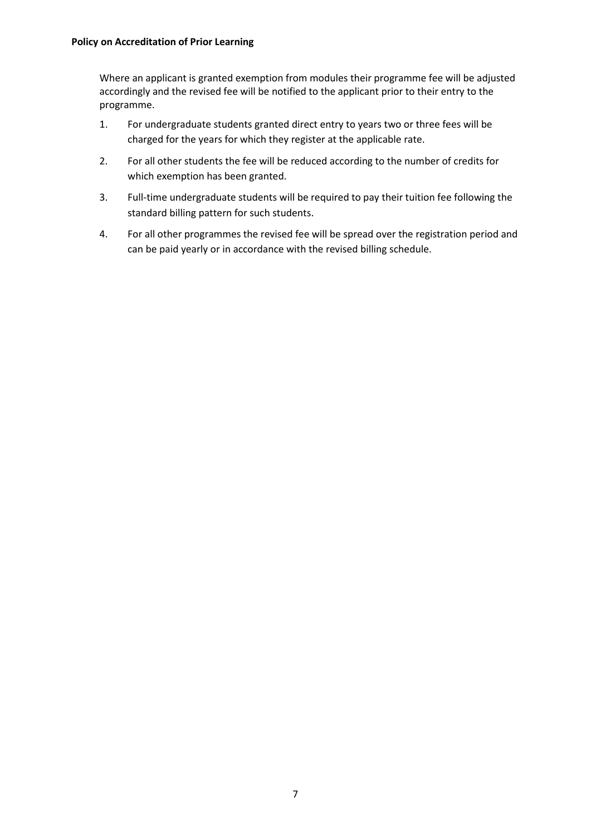Where an applicant is granted exemption from modules their programme fee will be adjusted accordingly and the revised fee will be notified to the applicant prior to their entry to the programme.

- 1. For undergraduate students granted direct entry to years two or three fees will be charged for the years for which they register at the applicable rate.
- 2. For all other students the fee will be reduced according to the number of credits for which exemption has been granted.
- 3. Full-time undergraduate students will be required to pay their tuition fee following the standard billing pattern for such students.
- 4. For all other programmes the revised fee will be spread over the registration period and can be paid yearly or in accordance with the revised billing schedule.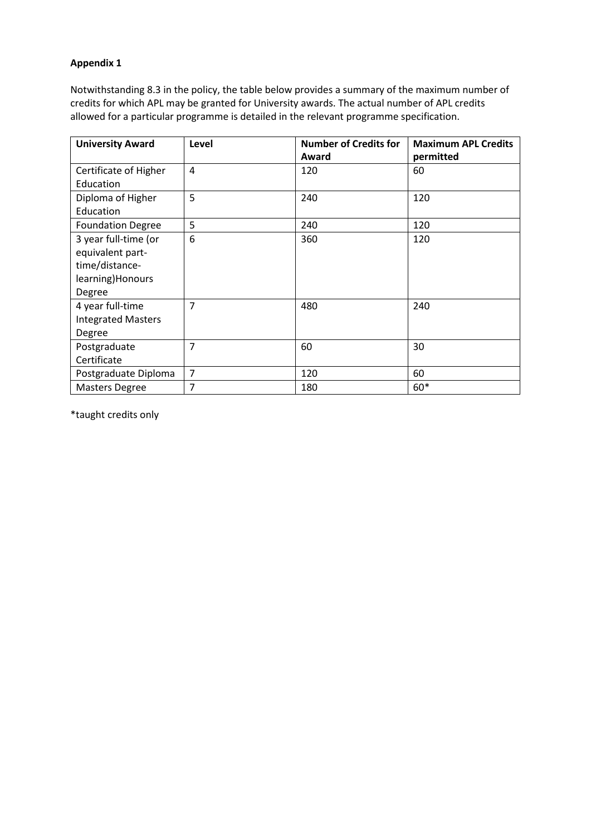## **Appendix 1**

Notwithstanding 8.3 in the policy, the table below provides a summary of the maximum number of credits for which APL may be granted for University awards. The actual number of APL credits allowed for a particular programme is detailed in the relevant programme specification.

| <b>University Award</b>   | Level          | <b>Number of Credits for</b> | <b>Maximum APL Credits</b> |
|---------------------------|----------------|------------------------------|----------------------------|
|                           |                | Award                        | permitted                  |
| Certificate of Higher     | 4              | 120                          | 60                         |
| Education                 |                |                              |                            |
| Diploma of Higher         | 5              | 240                          | 120                        |
| Education                 |                |                              |                            |
| <b>Foundation Degree</b>  | 5              | 240                          | 120                        |
| 3 year full-time (or      | 6              | 360                          | 120                        |
| equivalent part-          |                |                              |                            |
| time/distance-            |                |                              |                            |
| learning) Honours         |                |                              |                            |
| Degree                    |                |                              |                            |
| 4 year full-time          | $\overline{7}$ | 480                          | 240                        |
| <b>Integrated Masters</b> |                |                              |                            |
| Degree                    |                |                              |                            |
| Postgraduate              | 7              | 60                           | 30                         |
| Certificate               |                |                              |                            |
| Postgraduate Diploma      | $\overline{7}$ | 120                          | 60                         |
| <b>Masters Degree</b>     | 7              | 180                          | 60*                        |

\*taught credits only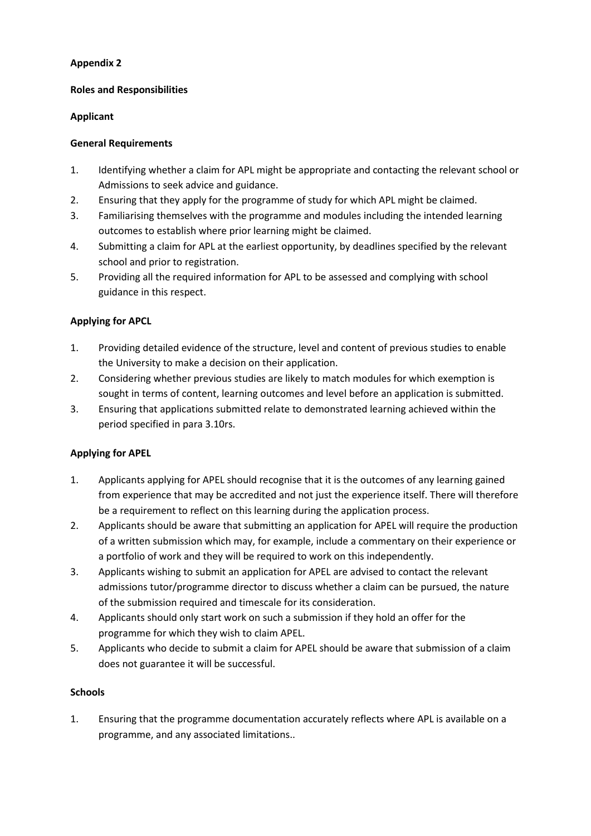# **Appendix 2**

## **Roles and Responsibilities**

# **Applicant**

# **General Requirements**

- 1. Identifying whether a claim for APL might be appropriate and contacting the relevant school or Admissions to seek advice and guidance.
- 2. Ensuring that they apply for the programme of study for which APL might be claimed.
- 3. Familiarising themselves with the programme and modules including the intended learning outcomes to establish where prior learning might be claimed.
- 4. Submitting a claim for APL at the earliest opportunity, by deadlines specified by the relevant school and prior to registration.
- 5. Providing all the required information for APL to be assessed and complying with school guidance in this respect.

# **Applying for APCL**

- 1. Providing detailed evidence of the structure, level and content of previous studies to enable the University to make a decision on their application.
- 2. Considering whether previous studies are likely to match modules for which exemption is sought in terms of content, learning outcomes and level before an application is submitted.
- 3. Ensuring that applications submitted relate to demonstrated learning achieved within the period specified in para 3.10rs.

# **Applying for APEL**

- 1. Applicants applying for APEL should recognise that it is the outcomes of any learning gained from experience that may be accredited and not just the experience itself. There will therefore be a requirement to reflect on this learning during the application process.
- 2. Applicants should be aware that submitting an application for APEL will require the production of a written submission which may, for example, include a commentary on their experience or a portfolio of work and they will be required to work on this independently.
- 3. Applicants wishing to submit an application for APEL are advised to contact the relevant admissions tutor/programme director to discuss whether a claim can be pursued, the nature of the submission required and timescale for its consideration.
- 4. Applicants should only start work on such a submission if they hold an offer for the programme for which they wish to claim APEL.
- 5. Applicants who decide to submit a claim for APEL should be aware that submission of a claim does not guarantee it will be successful.

## **Schools**

1. Ensuring that the programme documentation accurately reflects where APL is available on a programme, and any associated limitations..